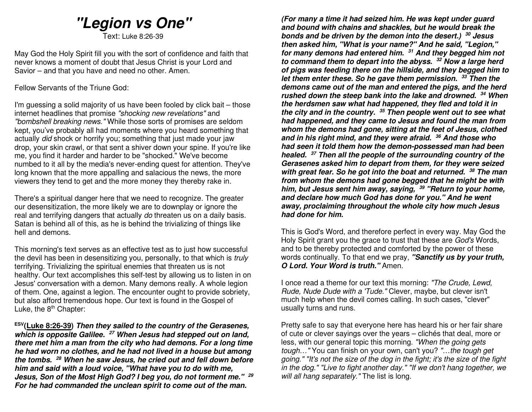# **"Legion vs One"**

Text: Luke 8:26-39

May God the Holy Spirit fill you with the sort of confidence and faith that never knows a moment of doubt that Jesus Christ is your Lord and Savior – and that you have and need no other. Amen.

Fellow Servants of the Triune God:

I'm guessing a solid majority of us have been fooled by click bait – those internet headlines that promise "shocking new revelations" and "bombshell breaking news." While those sorts of promises are seldom kept, you've probably all had moments where you heard something that actually did shock or horrify you; something that just made your jaw drop, your skin crawl, or that sent a shiver down your spine. If you're like me, you find it harder and harder to be "shocked." We've become numbed to it all by the media's never-ending quest for attention. They've long known that the more appalling and salacious the news, the more viewers they tend to get and the more money they thereby rake in.

There's a spiritual danger here that we need to recognize. The greater our desensitization, the more likely we are to downplay or ignore the real and terrifying dangers that actually do threaten us on a daily basis. Satan is behind all of this, as he is behind the trivializing of things like hell and demons.

This morning's text serves as an effective test as to just how successful the devil has been in desensitizing you, personally, to that which is truly terrifying. Trivializing the spiritual enemies that threaten us is not healthy. Our text accomplishes this self-test by allowing us to listen in on Jesus' conversation with a demon. Many demons really. A whole legion of them. One, against a legion. The encounter ought to provide sobriety, but also afford tremendous hope. Our text is found in the Gospel of Luke, the  $8<sup>th</sup>$  Chapter:

**ESV(Luke 8:26-39) Then they sailed to the country of the Gerasenes, which is opposite Galilee. 27 When Jesus had stepped out on land, there met him a man from the city who had demons. For a long time he had worn no clothes, and he had not lived in a house but among the tombs. <sup>28</sup> When he saw Jesus, he cried out and fell down before him and said with a loud voice, "What have you to do with me, Jesus, Son of the Most High God? I beg you, do not torment me." <sup>29</sup> For he had commanded the unclean spirit to come out of the man.** 

**(For many a time it had seized him. He was kept under guard and bound with chains and shackles, but he would break the bonds and be driven by the demon into the desert.) <sup>30</sup> Jesus then asked him, "What is your name?" And he said, "Legion," for many demons had entered him. 31 And they begged him not to command them to depart into the abyss. 32 Now a large herd of pigs was feeding there on the hillside, and they begged him to let them enter these. So he gave them permission. <sup>33</sup> Then the demons came out of the man and entered the pigs, and the herd rushed down the steep bank into the lake and drowned. <sup>34</sup> When the herdsmen saw what had happened, they fled and told it in the city and in the country. 35 Then people went out to see what had happened, and they came to Jesus and found the man from whom the demons had gone, sitting at the feet of Jesus, clothed and in his right mind, and they were afraid. <sup>36</sup> And those who had seen it told them how the demon-possessed man had been healed. <sup>37</sup> Then all the people of the surrounding country of the Gerasenes asked him to depart from them, for they were seized with great fear. So he got into the boat and returned. <sup>38</sup> The man from whom the demons had gone begged that he might be with him, but Jesus sent him away, saying, <sup>39</sup> "Return to your home, and declare how much God has done for you." And he went away, proclaiming throughout the whole city how much Jesus had done for him.** 

This is God's Word, and therefore perfect in every way. May God the Holy Spirit grant you the grace to trust that these are God's Words, and to be thereby protected and comforted by the power of these words continually. To that end we pray, **"Sanctify us by your truth, O Lord. Your Word is truth."** Amen.

I once read a theme for our text this morning: "The Crude, Lewd, Rude, Nude Dude with a 'Tude." Clever, maybe, but clever isn't much help when the devil comes calling. In such cases, "clever" usually turns and runs.

Pretty safe to say that everyone here has heard his or her fair share of cute or clever sayings over the years – clichés that deal, more or less, with our general topic this morning. "When the going gets tough..." You can finish on your own, can't you? "...the tough get going." "It's not the size of the dog in the fight; it's the size of the fight in the dog." "Live to fight another day." "If we don't hang together, we will all hang separately." The list is long.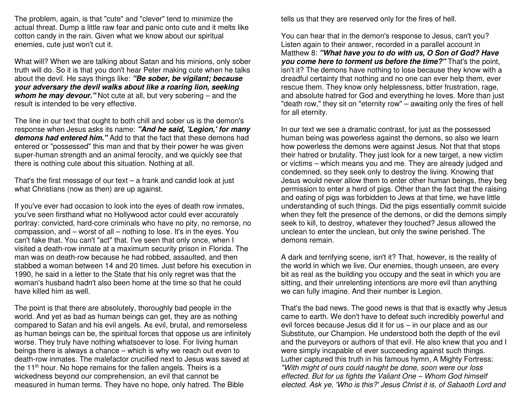The problem, again, is that "cute" and "clever" tend to minimize the actual threat. Dump a little raw fear and panic onto cute and it melts like cotton candy in the rain. Given what we know about our spiritual enemies, cute just won't cut it.

What will? When we are talking about Satan and his minions, only sober truth will do. So it is that you don't hear Peter making cute when he talks about the devil. He says things like: **"Be sober, be vigilant; because your adversary the devil walks about like a roaring lion, seeking whom he may devour.**" Not cute at all, but very sobering – and the result is intended to be very effective.

The line in our text that ought to both chill and sober us is the demon's response when Jesus asks its name: **"And he said, 'Legion,' for many demons had entered him."** Add to that the fact that these demons had entered or "possessed" this man and that by their power he was given super-human strength and an animal ferocity, and we quickly see that there is nothing cute about this situation. Nothing at all.

That's the first message of our text – a frank and candid look at just what Christians (now as then) are up against.

If you've ever had occasion to look into the eyes of death row inmates, you've seen firsthand what no Hollywood actor could ever accurately portray: convicted, hard-core criminals who have no pity, no remorse, no compassion, and – worst of all – nothing to lose. It's in the eyes. You can't fake that. You can't "act" that. I've seen that only once, when I visited a death-row inmate at a maximum security prison in Florida. The man was on death-row because he had robbed, assaulted, and then stabbed a woman between 14 and 20 times. Just before his execution in 1990, he said in a letter to the State that his only regret was that the woman's husband hadn't also been home at the time so that he could have killed him as well.

The point is that there are absolutely, thoroughly bad people in the world. And yet as bad as human beings can get, they are as nothing compared to Satan and his evil angels. As evil, brutal, and remorseless as human beings can be, the spiritual forces that oppose us are infinitely worse. They truly have nothing whatsoever to lose. For living human beings there is always a chance – which is why we reach out even to death-row inmates. The malefactor crucified next to Jesus was saved at the 11<sup>th</sup> hour. No hope remains for the fallen angels. Theirs is a wickedness beyond our comprehension, an evil that cannot be measured in human terms. They have no hope, only hatred. The Bible

tells us that they are reserved only for the fires of hell.

You can hear that in the demon's response to Jesus, can't you? Listen again to their answer, recorded in a parallel account in Matthew 8: **"What have you to do with us, O Son of God? Have you come here to torment us before the time?"** That's the point, isn't it? The demons have nothing to lose because they know with a dreadful certainty that nothing and no one can ever help them, ever rescue them. They know only helplessness, bitter frustration, rage, and absolute hatred for God and everything he loves. More than just "death row," they sit on "eternity row" – awaiting only the fires of hell for all eternity.

In our text we see a dramatic contrast, for just as the possessed human being was powerless against the demons, so also we learn how powerless the demons were against Jesus. Not that that stops their hatred or brutality. They just look for a new target, a new victim or victims – which means you and me. They are already judged and condemned, so they seek only to destroy the living. Knowing that Jesus would never allow them to enter other human beings, they beg permission to enter a herd of pigs. Other than the fact that the raising and eating of pigs was forbidden to Jews at that time, we have little understanding of such things. Did the pigs essentially commit suicide when they felt the presence of the demons, or did the demons simply seek to kill, to destroy, whatever they touched? Jesus allowed the unclean to enter the unclean, but only the swine perished. The demons remain.

A dark and terrifying scene, isn't it? That, however, is the reality of the world in which we live. Our enemies, though unseen, are every bit as real as the building you occupy and the seat in which you are sitting, and their unrelenting intentions are more evil than anything we can fully imagine. And their number is Legion.

That's the bad news. The good news is that that is exactly why Jesus came to earth. We don't have to defeat such incredibly powerful and evil forces because Jesus did it for us – in our place and as our Substitute, our Champion. He understood both the depth of the evil and the purveyors or authors of that evil. He also knew that you and I were simply incapable of ever succeeding against such things. Luther captured this truth in his famous hymn, A Mighty Fortress: "With might of ours could naught be done, soon were our loss effected. But for us fights the Valiant One – Whom God himself elected. Ask ye, 'Who is this?' Jesus Christ it is, of Sabaoth Lord and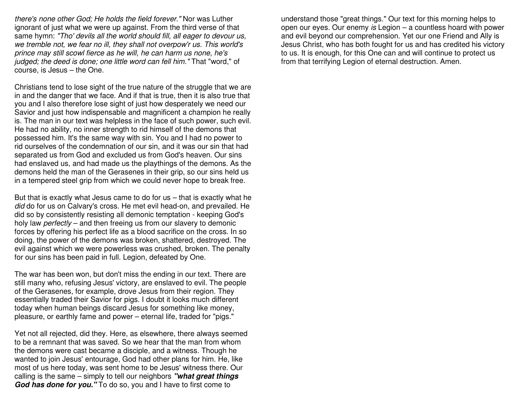there's none other God; He holds the field forever." Nor was Luther ignorant of just what we were up against. From the third verse of that same hymn: "Tho' devils all the world should fill, all eager to devour us, we tremble not, we fear no ill, they shall not overpow'r us. This world's prince may still scowl fierce as he will, he can harm us none, he's judged; the deed is done; one little word can fell him." That "word," of course, is Jesus – the One.

Christians tend to lose sight of the true nature of the struggle that we are in and the danger that we face. And if that is true, then it is also true that you and I also therefore lose sight of just how desperately we need our Savior and just how indispensable and magnificent a champion he really is. The man in our text was helpless in the face of such power, such evil. He had no ability, no inner strength to rid himself of the demons that possessed him. It's the same way with sin. You and I had no power to rid ourselves of the condemnation of our sin, and it was our sin that had separated us from God and excluded us from God's heaven. Our sins had enslaved us, and had made us the playthings of the demons. As the demons held the man of the Gerasenes in their grip, so our sins held us in a tempered steel grip from which we could never hope to break free.

But that is exactly what Jesus came to do for us – that is exactly what he did do for us on Calvary's cross. He met evil head-on, and prevailed. He did so by consistently resisting all demonic temptation - keeping God's holy law *perfectly* – and then freeing us from our slavery to demonic forces by offering his perfect life as a blood sacrifice on the cross. In so doing, the power of the demons was broken, shattered, destroyed. The evil against which we were powerless was crushed, broken. The penalty for our sins has been paid in full. Legion, defeated by One.

The war has been won, but don't miss the ending in our text. There are still many who, refusing Jesus' victory, are enslaved to evil. The people of the Gerasenes, for example, drove Jesus from their region. They essentially traded their Savior for pigs. I doubt it looks much different today when human beings discard Jesus for something like money, pleasure, or earthly fame and power – eternal life, traded for "pigs."

Yet not all rejected, did they. Here, as elsewhere, there always seemed to be a remnant that was saved. So we hear that the man from whom the demons were cast became a disciple, and a witness. Though he wanted to join Jesus' entourage, God had other plans for him. He, like most of us here today, was sent home to be Jesus' witness there. Our calling is the same – simply to tell our neighbors **"what great things God has done for you."** To do so, you and I have to first come to

understand those "great things." Our text for this morning helps to open our eyes. Our enemy is Legion – a countless hoard with power and evil beyond our comprehension. Yet our one Friend and Ally is Jesus Christ, who has both fought for us and has credited his victory to us. It is enough, for this One can and will continue to protect us from that terrifying Legion of eternal destruction. Amen.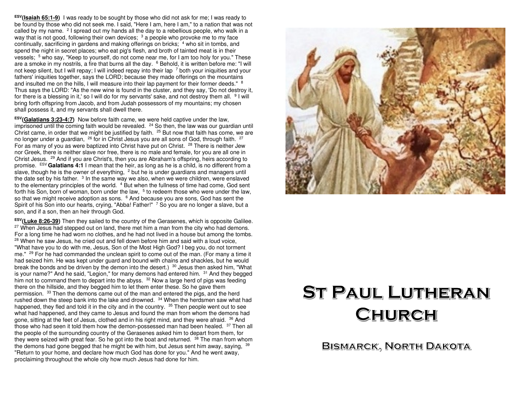**ESV(Isaiah 65:1-9)** I was ready to be sought by those who did not ask for me; I was ready to be found by those who did not seek me. I said, "Here I am, here I am," to a nation that was not called by my name. <sup>2</sup> I spread out my hands all the day to a rebellious people, who walk in a way that is not good, following their own devices;  $3$  a people who provoke me to my face continually, sacrificing in gardens and making offerings on bricks; <sup>4</sup> who sit in tombs, and spend the night in secret places; who eat pig's flesh, and broth of tainted meat is in their vessels; <sup>5</sup> who say, "Keep to yourself, do not come near me, for I am too holy for you." These are a smoke in my nostrils, a fire that burns all the day. <sup>6</sup> Behold, it is written before me: "I will not keep silent, but I will repay; I will indeed repay into their lap  $\frac{7}{7}$  both your iniquities and your fathers' iniquities together, says the LORD; because they made offerings on the mountains and insulted me on the hills, I will measure into their lap payment for their former deeds."  $8$  Thus says the LORD: "As the new wine is found in the cluster, and they say, 'Do not destroy it, for there is a blessing in it,' so I will do for my servants' sake, and not destroy them all. <sup>9</sup> I will bring forth offspring from Jacob, and from Judah possessors of my mountains; my chosen shall possess it, and my servants shall dwell there.

**ESV(Galatians 3:23-4:7)** Now before faith came, we were held captive under the law, imprisoned until the coming faith would be revealed.  $^{24}$  So then, the law was our guardian until Christ came, in order that we might be justified by faith.  $25$  But now that faith has come, we are no longer under a guardian,  $26$  for in Christ Jesus you are all sons of God, through faith.  $27$ For as many of you as were baptized into Christ have put on Christ.  $^{28}$  There is neither Jew nor Greek, there is neither slave nor free, there is no male and female, for you are all one in Christ Jesus. <sup>29</sup> And if you are Christ's, then you are Abraham's offspring, heirs according to promise. ESV **Galatians 4:1** I mean that the heir, as long as he is a child, is no different from a slave, though he is the owner of everything,  $2$  but he is under guardians and managers until the date set by his father.  $3$  In the same way we also, when we were children, were enslaved to the elementary principles of the world.<sup>4</sup> But when the fullness of time had come, God sent forth his Son, born of woman, born under the law,  $5$  to redeem those who were under the law, so that we might receive adoption as sons.  $6$  And because you are sons, God has sent the Spirit of his Son into our hearts, crying, "Abba! Father!" <sup>7</sup> So you are no longer a slave, but a son, and if a son, then an heir through God.

**ESV(Luke 8:26-39)** Then they sailed to the country of the Gerasenes, which is opposite Galilee. $27$  When Jesus had stepped out on land, there met him a man from the city who had demons. For a long time he had worn no clothes, and he had not lived in a house but among the tombs.<sup>28</sup> When he saw Jesus, he cried out and fell down before him and said with a loud voice, "What have you to do with me, Jesus, Son of the Most High God? I beg you, do not torment me." <sup>29</sup> For he had commanded the unclean spirit to come out of the man. (For many a time it had seized him. He was kept under guard and bound with chains and shackles, but he would break the bonds and be driven by the demon into the desert.)  $30$  Jesus then asked him, "What is your name?" And he said, "Legion," for many demons had entered him. <sup>31</sup> And they begged him not to command them to depart into the abyss. <sup>32</sup> Now a large herd of pigs was feeding there on the hillside, and they begged him to let them enter these. So he gave them permission. <sup>33</sup> Then the demons came out of the man and entered the pigs, and the herd rushed down the steep bank into the lake and drowned. <sup>34</sup> When the herdsmen saw what had happened, they fled and told it in the city and in the country. <sup>35</sup> Then people went out to see what had happened, and they came to Jesus and found the man from whom the demons had gone, sitting at the feet of Jesus, clothed and in his right mind, and they were afraid. <sup>36</sup> And those who had seen it told them how the demon-possessed man had been healed.  $37$  Then all the people of the surrounding country of the Gerasenes asked him to depart from them, for they were seized with great fear. So he got into the boat and returned. <sup>38</sup> The man from whom the demons had gone begged that he might be with him, but Jesus sent him away, saying,  $^{39}$ "Return to your home, and declare how much God has done for you." And he went away, proclaiming throughout the whole city how much Jesus had done for him.



# **ST PAUL LUTHERAN** CHURCH

**BISMARCK, NORTH DAKOTA**